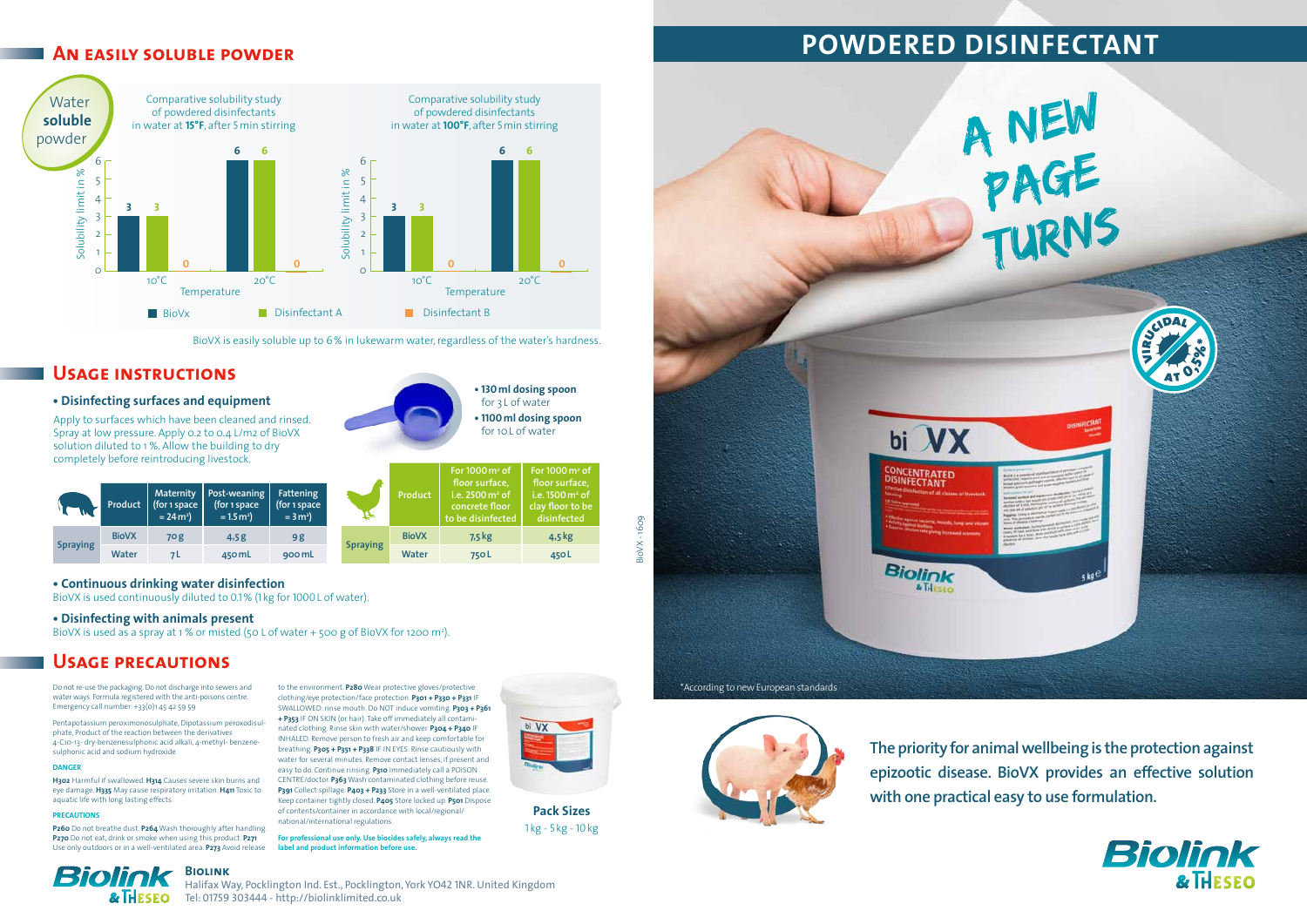|                 | Product      | <b>Maternity</b><br>(for 1 space<br>$= 24 \text{ m}^2$ | Post-weaning<br>(for 1 space<br>$= 1.5 m2$ | Fattening<br>(for 1 space<br>$= 3 m2$ |
|-----------------|--------------|--------------------------------------------------------|--------------------------------------------|---------------------------------------|
| <b>Spraying</b> | <b>BioVX</b> | 70g                                                    | 4,5g                                       | 9 g                                   |
|                 | Water        |                                                        | 450 mL                                     | 900 mL                                |

**Product**

**For 1000m2 of floor surface, i.e. 2500m2 of concrete floor to be disinfected**

**For 1000m2 of floor surface, i.e. 1500m2 of clay floor to be disinfected**

**Spraying**

**BioVX 7,5kg 4,5kg Water 750L 450L**

Do not re-use the packaging. Do not discharge into sewers and water ways. Formula registered with the anti-poisons centre. Emergency call number: +33(0)1 45 42 59 59

Pentapotassium peroximonosulphate, Dipotassium peroxodisulphate, Product of the reaction between the derivatives 4-C10-13- dry-benzenesulphonic acid alkali, 4-methyl- benzenesulphonic acid and sodium hydroxide

#### **DANGER**

**H302** Harmful if swallowed. **H314** Causes severe skin burns and eye damage. **H335** May cause respiratory irritation. **H411** Toxic to aquatic life with long lasting effects.

#### **PRECAUTIONS**

**Biolink** Halifax Way, Pocklington Ind. Est., Pocklington, York YO42 1NR. United Kingdom & THESEO Tel: 01759 303444 - http://biolinklimited.co.uk

**P260** Do not breathe dust. **P264** Wash thoroughly after handling. **P270** Do not eat, drink or smoke when using this product. **P271** Use only outdoors or in a well-ventilated area. **P273** Avoid release

**Biolink** 

**• 130ml dosing spoon** for 3 L of water **• 1100ml dosing spoon** for 10L of water

to the environment. **P280** Wear protective gloves/protective clothing/eye protection/face protection. **P301 + P330 + P331** IF SWALLOWED: rinse mouth. Do NOT induce vomiting. **P303 + P361 + P353** IF ON SKIN (or hair): Take off immediately all contaminated clothing. Rinse skin with water/shower. **P304 + P340** IF INHALED: Remove person to fresh air and keep comfortable for breathing. **P305 + P351 + P338** IF IN EYES: Rinse cautiously with water for several minutes. Remove contact lenses, if present and easy to do. Continue rinsing. **P310** Immediately call a POISON CENTRE/doctor. **P363** Wash contaminated clothing before reuse. **P391** Collect spillage. **P403 + P233** Store in a well-ventilated place. Keep container tightly closed. **P405** Store locked up. **P501** Dispose of contents/container in accordance with local/regional/ national/international regulations.

**For professional use only. Use biocides safely, always read the label and product information before use.** 



## **Usage instructions**

#### **• Disinfecting surfaces and equipment**

## **An easily soluble powder**

## **Usage precautions**



BioVX is used continuously diluted to 0.1 % (1 kg for 1000L of water).

#### **• Disinfecting with animals present**

BioVX is used as a spray at 1 % or misted (50 L of water + 500 g of BioVX for 1200 m<sup>2</sup>).

**Pack Sizes** 1 kg - 5 kg - 10kg

Apply to surfaces which have been cleaned and rinsed. Spray at low pressure. Apply 0.2 to 0.4 L/m2 of BioVX solution diluted to 1 %. Allow the building to dry completely before reintroducing livestock.

BioVX - 1609

BioVX-

1609





**The priority for animal wellbeing is the protection against epizootic disease. BioVX provides an effective solution with one practical easy to use formulation.** 

# **POWDERED DISINFECTANT**



BioVX is easily soluble up to 6% in lukewarm water, regardless of the water's hardness.